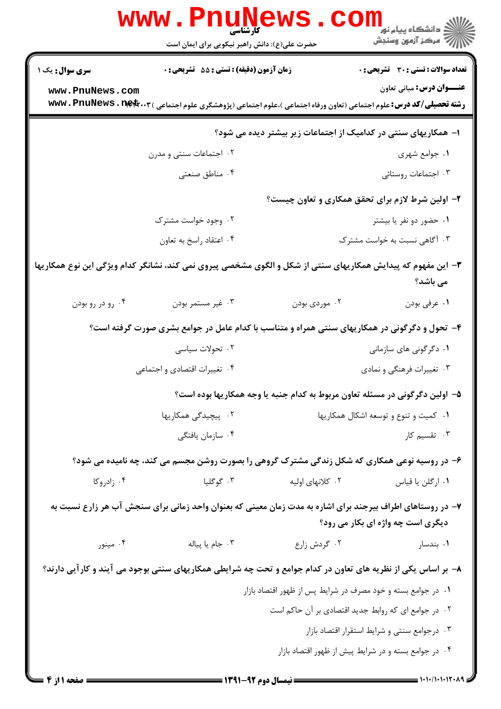|                                                                                                                                                                              | <b>www.PnuNewS</b><br>کارشناسی<br>حضرت علی(ع): دانش راهبر نیکویی برای ایمان است |                                                                                                                                   | ڪ دانشڪاه پيا <sub>م</sub> نور<br><mark>ر</mark> 7 مرڪز آزمون وسنڊش |  |
|------------------------------------------------------------------------------------------------------------------------------------------------------------------------------|---------------------------------------------------------------------------------|-----------------------------------------------------------------------------------------------------------------------------------|---------------------------------------------------------------------|--|
| <b>سری سوال :</b> یک ۱                                                                                                                                                       | زمان آزمون (دقیقه) : تستی : 55 آتشریحی : 0                                      |                                                                                                                                   | <b>تعداد سوالات : تستی : 30 ٪ تشریحی : 0</b>                        |  |
| www.PnuNews.com                                                                                                                                                              |                                                                                 |                                                                                                                                   | عنــوان درس: مبانی تعاون                                            |  |
|                                                                                                                                                                              |                                                                                 | <b>رشته تحصیلی/کد درس:</b> علوم اجتماعی (تعاون ورفاه اجتماعی )،علوم اجتماعی (پژوهشگری علوم اجتماعی ) <b>www . PnuNews . net</b> r |                                                                     |  |
|                                                                                                                                                                              |                                                                                 | ا– همکاریهای سنتی در کدامیک از اجتماعات زیر بیشتر دیده می شود؟                                                                    |                                                                     |  |
|                                                                                                                                                                              | ۰۲ اجتماعات سنتی و مدرن                                                         |                                                                                                                                   | ۰۱ جوامع شهري                                                       |  |
|                                                                                                                                                                              | ۰۴ مناطق صنعتی                                                                  |                                                                                                                                   | ۰۳ اجتماعات روستائی                                                 |  |
|                                                                                                                                                                              |                                                                                 |                                                                                                                                   | ۲- اولین شرط لازم برای تحقق همکاری و تعاون چیست؟                    |  |
|                                                                                                                                                                              | ۰۲ وجود خواست مشترک                                                             |                                                                                                                                   | ۰۱ حضور دو نفر یا بیشتر                                             |  |
|                                                                                                                                                                              | ۰۴ اعتقاد راسخ به تعاون                                                         |                                                                                                                                   | ۰۳ آگاهی نسبت به خواست مشترک                                        |  |
| ۳– این مفهوم که پیدایش همکاریهای سنتی از شکل و الگوی مشخصی پیروی نمی کند، نشانگر کدام ویژگی این نوع همکاریها<br>می باشد؟                                                     |                                                                                 |                                                                                                                                   |                                                                     |  |
| ۰۴ رو در رو بودن                                                                                                                                                             | ۰۳ غیر مستمر بودن                                                               | ۰۲ موردی بودن                                                                                                                     | ۰۱ عرفي بودن                                                        |  |
|                                                                                                                                                                              |                                                                                 | ۴- تحول و دگرگونی در همکاریهای سنتی همراه و متناسب با کدام عامل در جوامع بشری صورت گرفته است؟                                     |                                                                     |  |
|                                                                                                                                                                              | ۰۲ تحولات سیاسی                                                                 |                                                                                                                                   | ۰۱ دگرگونی های سازمانی                                              |  |
|                                                                                                                                                                              | ۰۴ تغییرات اقتصادی و اجتماعی                                                    |                                                                                                                                   | ۰۳ تغییرات فرهنگی و نمادی                                           |  |
|                                                                                                                                                                              |                                                                                 | ۵– اولین دگرگونی در مسئله تعاون مربوط به کدام جنبه یا وجه همکاریها بوده است؟                                                      |                                                                     |  |
|                                                                                                                                                                              | ۰۱ کمیت و تنوع و توسعه اشکال همکاریها<br>۰۲ پیچیدگی همکاریها                    |                                                                                                                                   |                                                                     |  |
|                                                                                                                                                                              | ۰۴ سازمان يافتگى                                                                |                                                                                                                                   | ۰۳ تقسیم کار                                                        |  |
|                                                                                                                                                                              |                                                                                 | ۶- در روسیه نوعی همکاری که شکل زندگی مشترک گروهی را بصورت روشن مجسم می کند، چه نامیده می شود؟                                     |                                                                     |  |
| ۰۴ زادروکا                                                                                                                                                                   | ۰۳ گوگليا                                                                       | ۰۲ کلانهای اولیه                                                                                                                  | ٠١ ارگلن يا قياس                                                    |  |
|                                                                                                                                                                              |                                                                                 | ۷– در روستاهای اطراف بیرجند برای اشاره به مدت زمان معینی که بعنوان واحد زمانی برای سنجش آب هر زارع نسبت به                        | دیگری است چه واژه ای بکار می رود؟                                   |  |
| ۰۴ مینور                                                                                                                                                                     | ۰۳ جام یا پیاله                                                                 | ۰۲ گردش زارع                                                                                                                      | ۰۱ بندسار                                                           |  |
|                                                                                                                                                                              |                                                                                 |                                                                                                                                   |                                                                     |  |
| ۸− بر اساس یکی از نظریه های تعاون در کدام جوامع و تحت چه شرایطی همکاریهای سنتی بوجود می آیند و کارآیی دارند؟<br>۰۱ در جوامع بسته و خود مصرف در شرایط پس از ظهور اقتصاد بازار |                                                                                 |                                                                                                                                   |                                                                     |  |
|                                                                                                                                                                              |                                                                                 |                                                                                                                                   | ۰۲ در جوامع ای که روابط جدید اقتصادی بر آن حاکم است                 |  |
|                                                                                                                                                                              |                                                                                 |                                                                                                                                   | ۰۳ درجوامع سنتی و شرایط استقرار اقتصاد بازار                        |  |
|                                                                                                                                                                              |                                                                                 |                                                                                                                                   | ۰۴ در جوامع بسته و در شرایط پیش از ظهور اقتصاد بازار                |  |
| <b>: صفحه ۱ از ۴</b>                                                                                                                                                         |                                                                                 |                                                                                                                                   |                                                                     |  |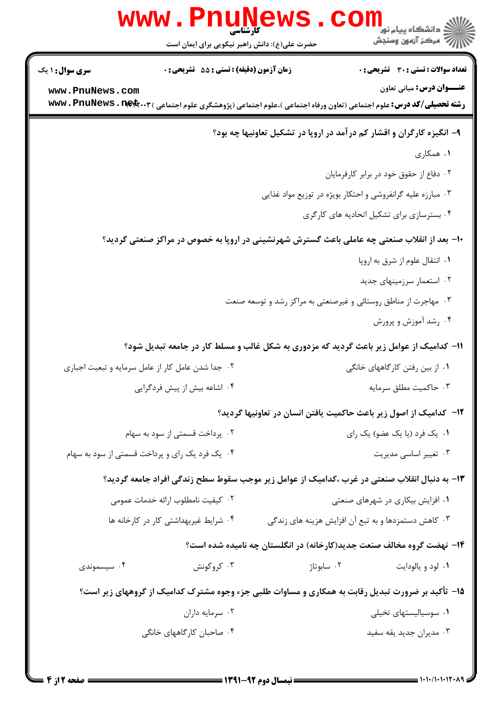|                                                                                             | <b>WWW.PNUNEWS</b><br><b>کارشناسی</b><br>حضرت علی(ع): دانش راهبر نیکویی برای ایمان است                                   |                                                                 | کے دانشگاہ پیا <sub>م</sub> نور<br>انتشکاہ پیا <sub>م</sub> نور<br>انتہوں وسنجش |  |  |
|---------------------------------------------------------------------------------------------|--------------------------------------------------------------------------------------------------------------------------|-----------------------------------------------------------------|---------------------------------------------------------------------------------|--|--|
| <b>سری سوال : ۱ یک</b>                                                                      | <b>زمان آزمون (دقیقه) : تستی : 55 تشریحی : 0</b>                                                                         |                                                                 | <b>تعداد سوالات : تستی : 30 ٪ تشریحی : 0</b>                                    |  |  |
| www.PnuNews.com                                                                             | <b>رشته تحصیلی/کد درس:</b> علوم اجتماعی (تعاون ورفاه اجتماعی )،علوم اجتماعی (پژوهشگری علوم اجتماعی ) www . PnuNews . net |                                                                 | <b>عنـــوان درس:</b> مباني تعاون                                                |  |  |
|                                                                                             |                                                                                                                          |                                                                 | ۹- انگیزه کارگران و اقشار کم درآمد در اروپا در تشکیل تعاونیها چه بود؟           |  |  |
|                                                                                             |                                                                                                                          |                                                                 | ۱. همکاری                                                                       |  |  |
|                                                                                             | ٠٢ دفاع از حقوق خود در برابر كارفرمايان                                                                                  |                                                                 |                                                                                 |  |  |
| ۰۳ مبارزه علیه گرانفروشی و احتکار بویژه در توزیع مواد غذایی                                 |                                                                                                                          |                                                                 |                                                                                 |  |  |
|                                                                                             |                                                                                                                          |                                                                 | ۰۴ بسترسازی برای تشکیل اتحادیه های کارگری                                       |  |  |
| +ا– بعد از انقلاب صنعتی چه عاملی باعث گسترش شهرنشینی در اروپا به خصوص در مراکز صنعتی گردید؟ |                                                                                                                          |                                                                 |                                                                                 |  |  |
| ٠١. انتقال علوم از شرق به اروپا                                                             |                                                                                                                          |                                                                 |                                                                                 |  |  |
|                                                                                             |                                                                                                                          |                                                                 | ۰۲ استعمار سرزمینهای جدید                                                       |  |  |
|                                                                                             |                                                                                                                          | ۰۳ مهاجرت از مناطق روستائی و غیرصنعتی به مراکز رشد و توسعه صنعت |                                                                                 |  |  |
|                                                                                             |                                                                                                                          |                                                                 | ۰۴ رشد آموزش و پرورش                                                            |  |  |
|                                                                                             | 11- کدامیک از عوامل زیر باعث گردید که مزدوری به شکل غالب و مسلط کار در جامعه تبدیل شود؟                                  |                                                                 |                                                                                 |  |  |
|                                                                                             | ۰۲ جدا شدن عامل کار از عامل سرمایه و تبعیت اجباری                                                                        |                                                                 | ۰۱ از بین رفتن کارگاههای خانگی                                                  |  |  |
|                                                                                             | ۰۴ اشاعه بیش از پیش فردگرایی                                                                                             |                                                                 | ۰۳ حاكميت مطلق سرمايه                                                           |  |  |
|                                                                                             |                                                                                                                          |                                                                 | ۱۲- کدامیک از اصول زیر باعث حاکمیت یافتن انسان در تعاونیها گردید؟               |  |  |
|                                                                                             | ۰۲ پرداخت قسمتی از سود به سهام                                                                                           |                                                                 | ۰۱ یک فرد (یا یک عضو) یک رای                                                    |  |  |
|                                                                                             | ۰۴ یک فرد یک رای و پرداخت قسمتی از سود به سهام                                                                           |                                                                 | ۰۳ تغییر اساسی مدیریت                                                           |  |  |
|                                                                                             | ۱۳- به دنبال انقلاب صنعتی در غرب ،کدامیک از عوامل زیر موجب سقوط سطح زندگی افراد جامعه گردید؟                             |                                                                 |                                                                                 |  |  |
|                                                                                             | ۰۲ کیفیت نامطلوب ارائه خدمات عمومی                                                                                       |                                                                 | ۰۱ افزایش بیکاری در شهرهای صنعتی                                                |  |  |
|                                                                                             | ۰۴ شرایط غیربهداشتی کار در کارخانه ها                                                                                    |                                                                 | ۰۳ کاهش دستمزدها و به تبع آن افزایش هزینه های زندگی                             |  |  |
|                                                                                             | ۱۴- نهضت گروه مخالف صنعت جدید(کارخانه) در انگلستان چه نامیده شده است؟                                                    |                                                                 |                                                                                 |  |  |
| ۰۴ سیسموندی                                                                                 | ۰۳ کروکونش                                                                                                               | ۰۲ سابوتاژ                                                      | ۰۱ لود و يالودايت                                                               |  |  |
|                                                                                             | ۱۵- تأکید بر ضرورت تبدیل رقابت به همکاری و مساوات طلبی جزء وجوه مشترک کدامیک از گروههای زیر است؟                         |                                                                 |                                                                                 |  |  |
|                                                                                             | ۰۲ سرمایه داران                                                                                                          |                                                                 | ۰۱ سوسیالیستهای تخیلی                                                           |  |  |
|                                                                                             | ۰۴ صاحبان کارگاههای خانگی                                                                                                |                                                                 | ۰۳ مدیران جدید یقه سفید                                                         |  |  |
|                                                                                             |                                                                                                                          |                                                                 |                                                                                 |  |  |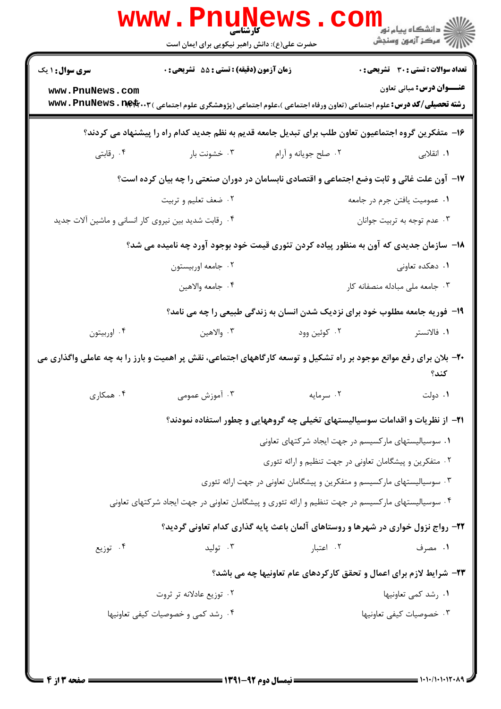|                                                                                                                             | <b>WWW.FILUING</b><br>حضرت علی(ع): دانش راهبر نیکویی برای ایمان است |                                                                                                                                   | ڪ دانشڪاه پيام نور ■<br> 7- مرکز آزمون وسنجش |  |
|-----------------------------------------------------------------------------------------------------------------------------|---------------------------------------------------------------------|-----------------------------------------------------------------------------------------------------------------------------------|----------------------------------------------|--|
| <b>سری سوال : ۱ یک</b>                                                                                                      | <b>زمان آزمون (دقیقه) : تستی : 55 تشریحی : 0</b>                    |                                                                                                                                   | <b>تعداد سوالات : تستی : 30 ٪ تشریحی : 0</b> |  |
| www.PnuNews.com                                                                                                             |                                                                     | <b>رشته تحصیلی/کد درس:</b> علوم اجتماعی (تعاون ورفاه اجتماعی )،علوم اجتماعی (پژوهشگری علوم اجتماعی ) <b>www . PnuNews . net</b> r | <b>عنـــوان درس:</b> مبانی تعاون             |  |
| ۱۶– متفکرین گروه اجتماعیون تعاون طلب برای تبدیل جامعه قدیم به نظم جدید کدام راه را پیشنهاد می کردند؟                        |                                                                     |                                                                                                                                   |                                              |  |
| ۰۴ رقابتی                                                                                                                   | ۰۳ خشونت بار                                                        | ۰۲ صلح جویانه و آرام                                                                                                              | ۱. انقلاب <sub>ی</sub>                       |  |
| ۱۷- آون علت غائی و ثابت وضع اجتماعی و اقتصادی نابسامان در دوران صنعتی را چه بیان کرده است؟                                  |                                                                     |                                                                                                                                   |                                              |  |
|                                                                                                                             | ۰۲ ضعف تعلیم و تربیت                                                |                                                                                                                                   | ۰۱ عمومیت یافتن جرم در جامعه                 |  |
| ۰۴ رقابت شدید بین نیروی کار انسانی و ماشین آلات جدید                                                                        |                                                                     |                                                                                                                                   | ۰۳ عدم توجه به تربیت جوانان                  |  |
|                                                                                                                             |                                                                     | ۱۸− سازمان جدیدی که آون به منظور پیاده کردن تئوری قیمت خود بوجود آورد چه نامیده می شد؟                                            |                                              |  |
|                                                                                                                             | ۰۲ جامعه اوربیستون                                                  |                                                                                                                                   | ۰۱ دهکده تعاونی                              |  |
|                                                                                                                             | ۰۴ جامعه والاهين                                                    |                                                                                                                                   | ٠٣ جامعه ملى مبادله منصفانه كار              |  |
|                                                                                                                             |                                                                     | ۱۹- فوریه جامعه مطلوب خود برای نزدیک شدن انسان به زندگی طبیعی را چه می نامد؟                                                      |                                              |  |
| ۰۴ اوربيتون                                                                                                                 | ۰۳ والاهين                                                          | ۰۲ کوئین وود                                                                                                                      | ۰۱ فالانستر                                  |  |
| +۲- بلان برای رفع موانع موجود بر راه تشکیل و توسعه کارگاههای اجتماعی، نقش پر اهمیت و بارز را به چه عاملی واگذاری می<br>كند؟ |                                                                     |                                                                                                                                   |                                              |  |
| ۰۴ همکاری                                                                                                                   | ۰۳ آموزش عمومی                                                      | ٠٢ سرمايه                                                                                                                         | ۰۱ دولت                                      |  |
|                                                                                                                             |                                                                     | <b>۲۱</b> - از نظریات و اقدامات سوسیالیستهای تخیلی چه گروههایی و چطور استفاده نمودند؟                                             |                                              |  |
|                                                                                                                             |                                                                     | ۰۱ سوسیالیستهای مارکسیسم در جهت ایجاد شرکتهای تعاونی                                                                              |                                              |  |
|                                                                                                                             |                                                                     | ۰۲ متفکرین و پیشگامان تعاونی در جهت تنظیم و ارائه تئوری                                                                           |                                              |  |
|                                                                                                                             |                                                                     | ۰۳ سوسیالیستهای مارکسیسم و متفکرین و پیشگامان تعاونی در جهت ارائه تئوری                                                           |                                              |  |
|                                                                                                                             |                                                                     | ۰۴ سوسیالیستهای مارکسیسم در جهت تنظیم و ارائه تئوری و پیشگامان تعاونی در جهت ایجاد شرکتهای تعاونی                                 |                                              |  |
|                                                                                                                             |                                                                     | ۲۲- رواج نزول خواری در شهرها و روستاهای آلمان باعث پایه گذاری کدام تعاونی گردید؟                                                  |                                              |  |
| ۰۴ توزیع                                                                                                                    | ۰۳ تولید                                                            | ۰۲ اعتبار                                                                                                                         | ۰۱ مصرف                                      |  |
|                                                                                                                             |                                                                     | <b>۲۳</b> - شرایط لازم برای اعمال و تحقق کارکردهای عام تعاونیها چه می باشد؟                                                       |                                              |  |
|                                                                                                                             | ۰۲ توزیع عادلانه تر ثروت                                            |                                                                                                                                   | ۰۱ رشد کمی تعاونیها                          |  |
|                                                                                                                             | ۰۴ رشد کمی و خصوصیات کیفی تعاونیها                                  |                                                                                                                                   | ۰۳ خصوصیات کیفی تعاونیها                     |  |
|                                                                                                                             |                                                                     |                                                                                                                                   |                                              |  |
|                                                                                                                             |                                                                     |                                                                                                                                   |                                              |  |
|                                                                                                                             |                                                                     |                                                                                                                                   | $1.1.11.1.15.19 =$                           |  |

و۳